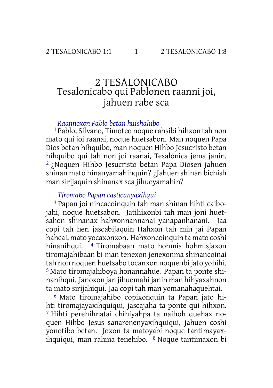# 2 TESALONICABO Tesalonicabo qui Pablonen raanni joi, jahuen rabe sca

#### *Raannoxon Pablo betan huishahibo*

1 Pablo, Silvano, Timoteo noque rahsibi hihxon tah non mato qui joi raanai, noque huetsabon. Man noquen Papa Dios betan hihquibo, man noquen Hihbo Jesucristo betan hihquibo qui tah non joi raanai, Tesalónica jema janin. 2 ¿Noquen Hihbo Jesucristo betan Papa Diosen jahuen shinan mato hinanyamahihquin? ¿Jahuen shinan bichish man sirijaquin shinanax sca jihueyamahin?

#### *Tiromabo Papan casticanyaxihqui*

3 Papan joi nincacoinquin tah man shinan hihti caibojahi, noque huetsabon. Jatihixonbi tah man joni huetsahon shinanax hahxonnannanai yanapanhanani. Jaa copi tah hen jascabijaquin Hahxon tah min jai Papan hahcai, mato yocaxonxon. Hahxoncoinquin ta mato coshi hinanihqui. 4 Tiromabaan mato hohmis hohmisjaxon tiromajahibaan bi man tenexon jenexonma shinancoinai tah non noquen huetsabo tocanxon noquenbi jato yohihi. 5 Mato tiromajahiboya honannahue. Papan ta ponte shinanihqui. Janoxon jan jihuemahi janin man hihyaxahnon ta mato sirijahiqui. Jaa copi tah man yomanahaquehtai.

6 Mato tiromajahibo copixonquin ta Papan jato hihti tiromajayaxihquiqui, jascajaha ta ponte qui hihxon. 7 Hihti perehihnatai chihiyahpa ta naihoh quehax noquen Hihbo Jesus sanarenenyaxihquiqui, jahuen coshi yonotibo betan. Joxon ta matoyabi noque tantimayaxihquiqui, man rahma tenehibo. 8 Noque tantimaxon bi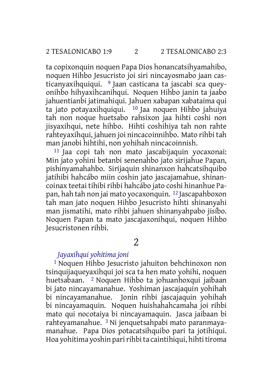ta copixonquin noquen Papa Dios honancatsihyamahibo, noquen Hihbo Jesucristo joi siri nincayosmabo jaan casticanyaxihquiqui. <sup>9</sup> Jaan casticana ta jascabi sca queyonihbo hihyaxihcanihqui. Noquen Hihbo janin ta jaabo jahuentianbi jatimahiqui. Jahuen xabapan xabataima qui ta jato potayaxihquiqui.  $10$  Jaa noquen Hihbo jahuiya tah non noque huetsabo rahsixon jaa hihti coshi non jisyaxihqui, nete hihbo. Hihti coshihiya tah non rahte rahteyaxihqui, jahuen joi nincacoinnihbo. Mato rihbi tah man janobi hihtihi, non yohihah nincacoinnish.

11 Jaa copi tah non mato jascabijaquin yocaxonai: Min jato yohini betanbi senenahbo jato sirijahue Papan, pishinyamahahbo. Sirijaquin shinanxon hahcatsihquibo jatihibi hahcábo miin coshin jato jascajamahue, shinancoinax teetai tihibi rihbi hahcábo jato coshi hinanhue Papan, hah tah non jai mato yocaxonquin. 12 Jascapahboxon tah man jato noquen Hihbo Jesucristo hihti shinanyahi man jismatihi, mato rihbi jahuen shinanyahpabo jisíbo. Noquen Papan ta mato jascajaxonihqui, noquen Hihbo Jesucristonen rihbi.

# $\overline{2}$

### *Jayaxihqui yohitima joni*

1 Noquen Hihbo Jesucristo jahuiton behchinoxon non tsinquijaqueyaxihqui joi sca ta hen mato yohihi, noquen huetsabaan. 2 Noquen Hihbo ta johuanhoxqui jaibaan bi jato nincayamanahue. Yoshiman jascajaquin yohihah bi nincayamanahue. Jonin rihbi jascajaquin yohihah bi nincayamaquin. Noquen huishahahcamaha joi rihbi mato qui nocotaiya bi nincayamaquin. Jasca jaibaan bi rahteyamanahue. 3 Ni jenquetsahpabi mato paranmayamanahue. Papa Dios potacatsihquibo pari ta jotihiqui. Hoa yohitima yoshin pari rihbi ta caintihiqui, hihti tiroma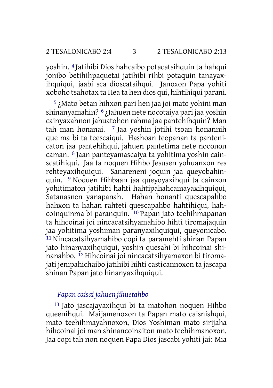yoshin. 4 Jatihibi Dios hahcaibo potacatsihquin ta hahqui jonibo betihihpaquetai jatihibi rihbi potaquin tanayaxihquiqui, jaabi sca dioscatsihqui. Janoxon Papa yohiti xoboho tsahotax ta Hea ta hen dios qui, hihtihiqui parani.

5 ¿Mato betan hihxon pari hen jaa joi mato yohini man shinanyamahin? 6 ¿Jahuen nete nocotaiya pari jaa yoshin cainyaxahnon jahuatohon rahma jaa pantehihquin? Man tah man honanai. 7 Jaa yoshin jotihi tsoan honannih que ma bi ta teescaiqui. Hashoan teepanan ta pantenicaton jaa pantehihqui, jahuen pantetima nete noconon caman. 8 Jaan panteyamascaiya ta yohitima yoshin cainscatihiqui. Jaa ta noquen Hihbo Jesusen yohuanxon res rehteyaxihquiqui. Sanareneni joquin jaa queyobahinquin. 9 Noquen Hihbaan jaa queyoyaxihqui ta cainxon yohitimaton jatihibi hahti hahtipahahcamayaxihquiqui, Satanasnen yanapanah. Hahan honanti quescapahbo hahxon ta hahan rahteti quescapahbo hahtihiqui, hahcoinquinma bi paranquin. 10 Papan jato teehihmapanan ta hihcoinai joi nincacatsihyamahibo hihti tiromajaquin jaa yohitima yoshiman paranyaxihquiqui, queyonicabo. 11 Nincacatsihyamahibo copi ta paramehti shinan Papan jato hinanyaxihquiqui, yoshin quesahi bi hihcoinai shinanahbo. 12 Hihcoinai joi nincacatsihyamaxon bi tiromajati jenipahichaibo jatihibi hihti casticannoxon ta jascapa shinan Papan jato hinanyaxihquiqui.

#### *Papan caisai jahuen jihuetahbo*

13 Jato jascajayaxihqui bi ta matohon noquen Hihbo queenihqui. Maijamenoxon ta Papan mato caisnishqui, mato teehihmayahnoxon, Dios Yoshiman mato sirijaha hihcoinai joi man shinancoinaiton mato teehihmanoxon. Jaa copi tah non noquen Papa Dios jascabi yohiti jai: Mia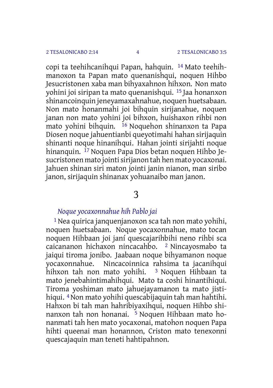copi ta teehihcanihqui Papan, hahquin. 14 Mato teehihmanoxon ta Papan mato quenanishqui, noquen Hihbo Jesucristonen xaba man bihyaxahnon hihxon. Non mato yohini joi siripan ta mato quenanishqui. 15 Jaa honanxon shinancoinquin jeneyamaxahnahue, noquen huetsabaan. Non mato honanmahi joi bihquin sirijanahue, noquen janan non mato yohini joi bihxon, huishaxon rihbi non mato yohini bihquin. <sup>16</sup> Noquehon shinanxon ta Papa Diosen noque jahuentianbi queyotimahi hahan sirijaquin shinanti noque hinanihqui. Hahan jointi sirijahti noque hinanquin. 17 Noquen Papa Dios betan noquen Hihbo Jesucristonen mato jointisirijanon tah hen mato yocaxonai. Jahuen shinan siri maton jointi janin nianon, man siribo janon, sirijaquin shinanax yohuanaibo man janon.

# 3

### *Noque yocaxonnahue hih Pablo jai*

1Nea quirica janquenjanoxon sca tah non mato yohihi, noquen huetsabaan. Noque yocaxonnahue, mato tocan noquen Hihbaan joi janí quescajarihbihi neno rihbi sca caicananon hichaxon nincacahbo. 2 Nincayosmabo ta jaiqui tiroma jonibo. Jaabaan noque bihyamanon noque yocaxonnahue. Nincacoinnica rahsima ta jacanihqui hihxon tah non mato yohihi. <sup>3</sup> Noquen Hihbaan ta hihxon tah non mato yohihi. mato jenebahintimahihqui. Mato ta coshi hinantihiqui. Tiroma yoshiman mato jahuejayamanon ta mato jistihiqui. 4Non mato yohihi quescabijaquin tah man hahtihi. Hahxon bi tah man hahribiyaxihqui, noquen Hihbo shinanxon tah non honanai. 5 Noquen Hihbaan mato honanmati tah hen mato yocaxonai, matohon noquen Papa hihti queenai man honannon, Criston mato tenexonni quescajaquin man teneti hahtipahnon.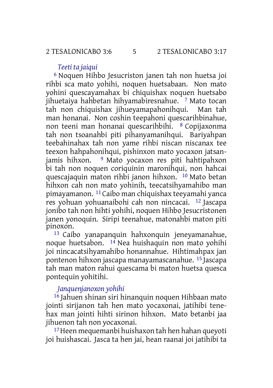#### *Teeti ta jaiqui*

6 Noquen Hihbo Jesucriston janen tah non huetsa joi rihbi sca mato yohihi, noquen huetsabaan. Non mato yohini quescayamahax bi chiquishax noquen huetsabo jihuetaiya hahbetan hihyamabiresnahue. 7 Mato tocan tah non chiquishax jihueyamapahonihqui. Man tah man honanai. Non coshin teepahoni quescarihbinahue, non teeni man honanai quescarihbihi. 8 Copijaxonma tah non tsoanahbi piti pihanyamanihqui. Bariyahpan teebahinahax tah non yame rihbi niscan niscanax tee teexon hahpahonihqui, pishinxon mato yocaxon jatsanjamis hihxon. 9 Mato yocaxon res piti hahtipahxon bi tah non noquen coriquinin maronihqui, non hahcai quescajaquin maton rihbi janon hihxon. 10 Mato betan hihxon cah non mato yohinih, teecatsihyamahibo man pimayamanon. 11 Caibo man chiquishax teeyamahi yanca res yohuan yohuanaibohi cah non nincacai. 12 Jascapa jonibo tah non hihti yohihi, noquen Hihbo Jesucristonen janen yonoquin. Siripi teenahue, matonahbi maton piti pinoxon.

13 Caibo yanapanquin hahxonquin jeneyamanahue, noque huetsabon. 14 Nea huishaquin non mato yohihi joi nincacatsihyamahibo honannahue. Hihtimahpax jan pontenon hihxon jascapa manayamascanahue. 15 Jascapa tah man maton rahui quescama bi maton huetsa quesca pontequin yohitihi.

#### *Janquenjanoxon yohihi*

16 Jahuen shinan siri hinanquin noquen Hihbaan mato jointi sirijanon tah hen mato yocaxonai, jatihibi tenehax man jointi hihti sirinon hihxon. Mato betanbi jaa jihuenon tah non yocaxonai.

17Heen mequemanbi huishaxon tah hen hahan queyoti joi huishascai. Jasca ta hen jai, hean raanai joi jatihibi ta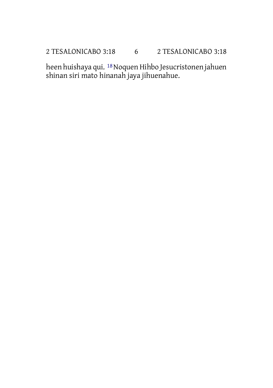# 2 TESALONICABO 3:18 6 2 TESALONICABO 3:18

heen huishaya qui. <sup>18</sup> Noquen Hihbo Jesucristonen jahuen shinan siri mato hinanah jaya jihuenahue.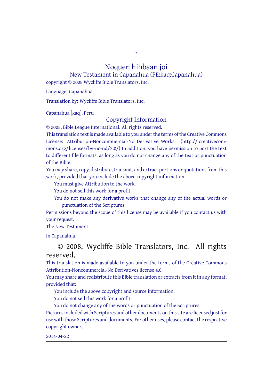7

#### Noquen hihbaan joi New Testament in Capanahua (PE:kaq:Capanahua)

copyright © 2008 Wycliffe Bible Translators, Inc.

Language: Capanahua

Translation by: Wycliffe Bible Translators, Inc.

Capanahua [kaq], Peru

#### Copyright Information

© 2008, Bible League International. All rights reserved.

This translation text is made available to you under the terms of the Creative [Commons](http://creativecommons.org/licenses/by-nc-nd/4.0/) License: [Attribution-Noncommercial-No](http://creativecommons.org/licenses/by-nc-nd/4.0/) Derivative Works. (http:// creativecommons.org/licenses/by-nc-nd/3.0/) In addition, you have permission to port the text to different file formats, as long as you do not change any of the text or punctuation of the Bible.

You may share, copy, distribute, transmit, and extract portions or quotations from this work, provided that you include the above copyright information:

You must give Attribution to the work.

You do not sell this work for a profit.

You do not make any derivative works that change any of the actual words or punctuation of the Scriptures.

Permissions beyond the scope of this license may be available if you contact us with your request.

#### The New Testament

in Capanahua

### © 2008, Wycliffe Bible Translators, Inc. All rights reserved.

This translation is made available to you under the terms of the Creative Commons Attribution-Noncommercial-No Derivatives license 4.0.

You may share and redistribute this Bible translation or extracts from it in any format, provided that:

You include the above copyright and source information.

You do not sell this work for a profit.

You do not change any of the words or punctuation of the Scriptures. Pictures included with Scriptures and other documents on this site are licensed just for use with those Scriptures and documents. For other uses, please contact the respective copyright owners.

2014-04-22